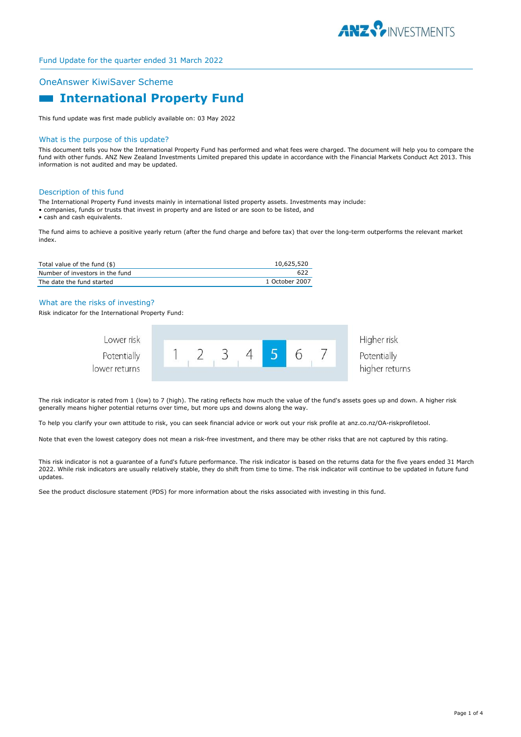

# OneAnswer KiwiSaver Scheme

# **Example 1 International Property Fund**

This fund update was first made publicly available on: 03 May 2022

#### What is the purpose of this update?

This document tells you how the International Property Fund has performed and what fees were charged. The document will help you to compare the fund with other funds. ANZ New Zealand Investments Limited prepared this update in accordance with the Financial Markets Conduct Act 2013. This information is not audited and may be updated.

#### Description of this fund

The International Property Fund invests mainly in international listed property assets. Investments may include:

- companies, funds or trusts that invest in property and are listed or are soon to be listed, and
- cash and cash equivalents.

The fund aims to achieve a positive yearly return (after the fund charge and before tax) that over the long-term outperforms the relevant market index.

| Total value of the fund (\$)    | 10,625,520     |
|---------------------------------|----------------|
| Number of investors in the fund | 622            |
| The date the fund started       | 1 October 2007 |

## What are the risks of investing?

Risk indicator for the International Property Fund:

| Lower risk                   |  |  |  | Higher risk    |
|------------------------------|--|--|--|----------------|
| Potentially<br>lower returns |  |  |  | Potentially    |
|                              |  |  |  | higher returns |

The risk indicator is rated from 1 (low) to 7 (high). The rating reflects how much the value of the fund's assets goes up and down. A higher risk generally means higher potential returns over time, but more ups and downs along the way.

To help you clarify your own attitude to risk, you can seek financial advice or work out your risk profile at anz.co.nz/OA-riskprofiletool.

Note that even the lowest category does not mean a risk-free investment, and there may be other risks that are not captured by this rating.

This risk indicator is not a guarantee of a fund's future performance. The risk indicator is based on the returns data for the five years ended 31 March 2022. While risk indicators are usually relatively stable, they do shift from time to time. The risk indicator will continue to be updated in future fund updates.

See the product disclosure statement (PDS) for more information about the risks associated with investing in this fund.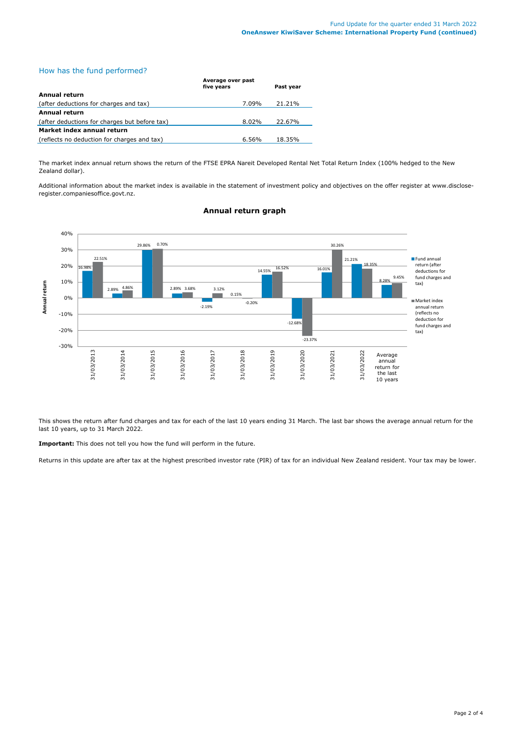# How has the fund performed?

|                                               | Average over past<br>five years | Past year |  |  |
|-----------------------------------------------|---------------------------------|-----------|--|--|
| Annual return                                 |                                 |           |  |  |
| (after deductions for charges and tax)        | 7.09%                           | 21.21%    |  |  |
| <b>Annual return</b>                          |                                 |           |  |  |
| (after deductions for charges but before tax) | 8.02%                           | 22.67%    |  |  |
| Market index annual return                    |                                 |           |  |  |
| (reflects no deduction for charges and tax)   | 6.56%                           | 18.35%    |  |  |

The market index annual return shows the return of the FTSE EPRA Nareit Developed Rental Net Total Return Index (100% hedged to the New Zealand dollar).

Additional information about the market index is available in the statement of investment policy and objectives on the offer register at www.discloseregister.companiesoffice.govt.nz.



# **Annual return graph**

This shows the return after fund charges and tax for each of the last 10 years ending 31 March. The last bar shows the average annual return for the last 10 years, up to 31 March 2022.

**Important:** This does not tell you how the fund will perform in the future.

Returns in this update are after tax at the highest prescribed investor rate (PIR) of tax for an individual New Zealand resident. Your tax may be lower.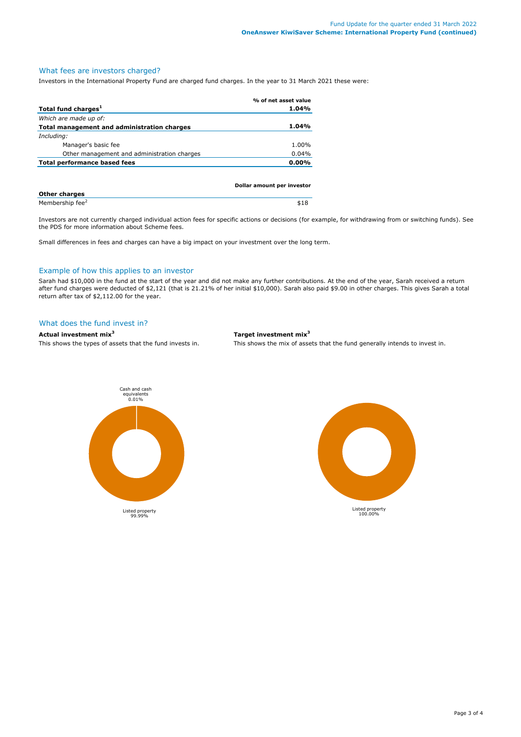# What fees are investors charged?

Investors in the International Property Fund are charged fund charges. In the year to 31 March 2021 these were:

|                                             | % of net asset value       |
|---------------------------------------------|----------------------------|
| Total fund charges <sup>1</sup>             | 1.04%                      |
| Which are made up of:                       |                            |
| Total management and administration charges | 1.04%                      |
| Including:                                  |                            |
| Manager's basic fee                         | 1.00%                      |
| Other management and administration charges | 0.04%                      |
| Total performance based fees                | $0.00\%$                   |
|                                             |                            |
|                                             | Dollar amount per investor |
|                                             |                            |

| <b>Other charges</b>        |  |
|-----------------------------|--|
| Membership fee <sup>2</sup> |  |

Investors are not currently charged individual action fees for specific actions or decisions (for example, for withdrawing from or switching funds). See the PDS for more information about Scheme fees.

Small differences in fees and charges can have a big impact on your investment over the long term.

## Example of how this applies to an investor

Sarah had \$10,000 in the fund at the start of the year and did not make any further contributions. At the end of the year, Sarah received a return after fund charges were deducted of \$2,121 (that is 21.21% of her initial \$10,000). Sarah also paid \$9.00 in other charges. This gives Sarah a total return after tax of \$2,112.00 for the year.

#### What does the fund invest in?

## **Actual investment mix<sup>3</sup> Target investment mix<sup>3</sup>**

This shows the types of assets that the fund invests in. This shows the mix of assets that the fund generally intends to invest in.